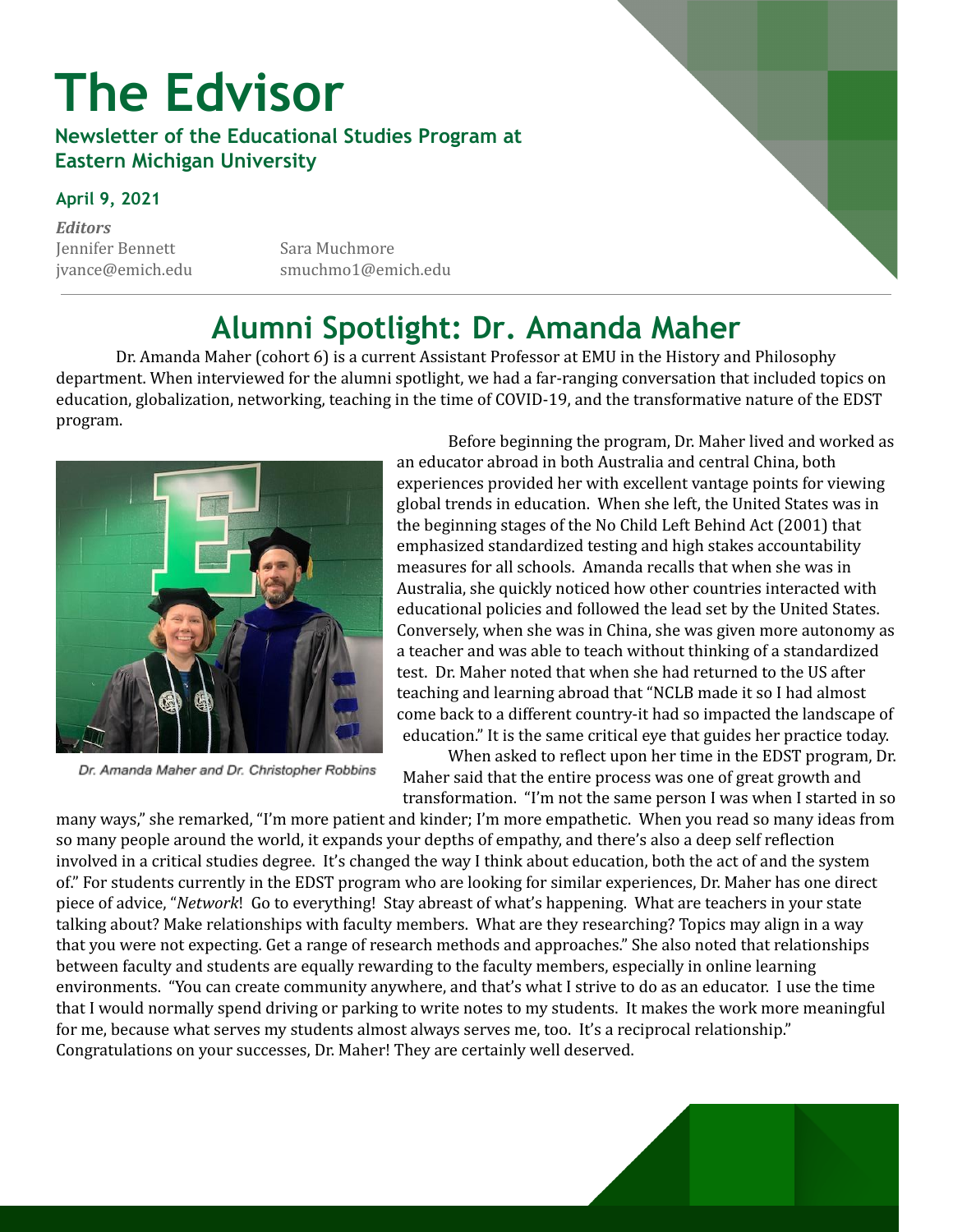# **The Edvisor**

#### **Newsletter of the Educational Studies Program at Eastern Michigan University**

#### **April 9, 2021**

*Editors* Jennifer Bennett Sara Muchmore

jvance@emich.edu smuchmo1@emich.edu

### **Alumni Spotlight: Dr. Amanda Maher**

Dr. Amanda Maher (cohort 6) is a current Assistant Professor at EMU in the History and Philosophy department. When interviewed for the alumni spotlight, we had a far-ranging conversation that included topics on education, globalization, networking, teaching in the time of COVID-19, and the transformative nature of the EDST program.



Dr. Amanda Maher and Dr. Christopher Robbins

Before beginning the program, Dr. Maher lived and worked as an educator abroad in both Australia and central China, both experiences provided her with excellent vantage points for viewing global trends in education. When she left, the United States was in the beginning stages of the No Child Left Behind Act (2001) that emphasized standardized testing and high stakes accountability measures for all schools. Amanda recalls that when she was in Australia, she quickly noticed how other countries interacted with educational policies and followed the lead set by the United States. Conversely, when she was in China, she was given more autonomy as a teacher and was able to teach without thinking of a standardized test. Dr. Maher noted that when she had returned to the US after teaching and learning abroad that "NCLB made it so I had almost come back to a different country-it had so impacted the landscape of education." It is the same critical eye that guides her practice today.

When asked to reflect upon her time in the EDST program, Dr. Maher said that the entire process was one of great growth and transformation. "I'm not the same person I was when I started in so

many ways," she remarked, "I'm more patient and kinder; I'm more empathetic. When you read so many ideas from so many people around the world, it expands your depths of empathy, and there's also a deep self reflection involved in a critical studies degree. It's changed the way I think about education, both the act of and the system of." For students currently in the EDST program who are looking for similar experiences, Dr. Maher has one direct piece of advice, "*Network*! Go to everything! Stay abreast of what's happening. What are teachers in your state talking about? Make relationships with faculty members. What are they researching? Topics may align in a way that you were not expecting. Get a range of research methods and approaches." She also noted that relationships between faculty and students are equally rewarding to the faculty members, especially in online learning environments. "You can create community anywhere, and that's what I strive to do as an educator. I use the time that I would normally spend driving or parking to write notes to my students. It makes the work more meaningful for me, because what serves my students almost always serves me, too. It's a reciprocal relationship." Congratulations on your successes, Dr. Maher! They are certainly well deserved.

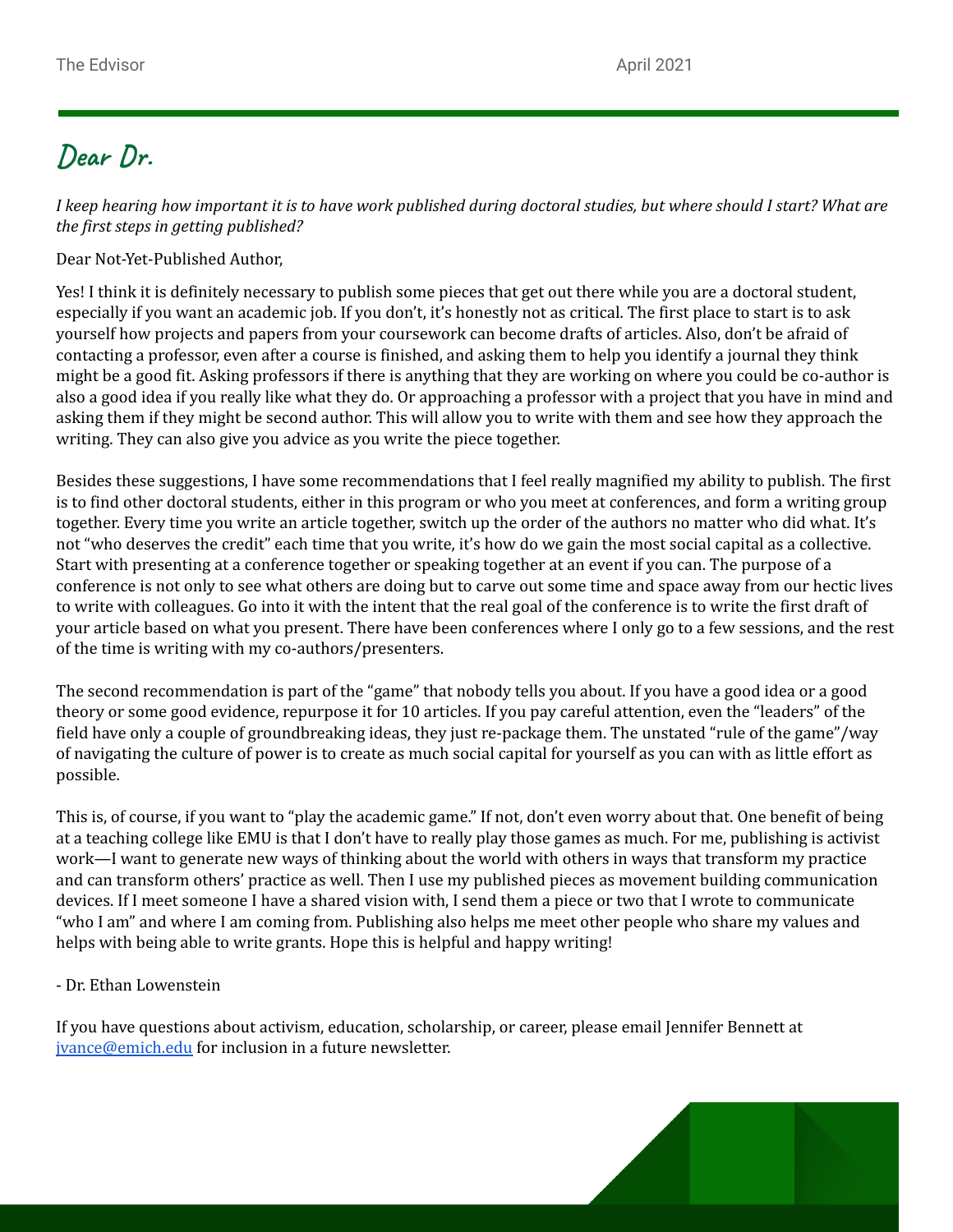### **Dear Dr.**

I keep hearing how important it is to have work published during doctoral studies, but where should I start? What are *the first steps in getting published?*

Dear Not-Yet-Published Author,

Yes! I think it is definitely necessary to publish some pieces that get out there while you are a doctoral student, especially if you want an academic job. If you don't, it's honestly not as critical. The first place to start is to ask yourself how projects and papers from your coursework can become drafts of articles. Also, don't be afraid of contacting a professor, even after a course is finished, and asking them to help you identify a journal they think might be a good fit. Asking professors if there is anything that they are working on where you could be co-author is also a good idea if you really like what they do. Or approaching a professor with a project that you have in mind and asking them if they might be second author. This will allow you to write with them and see how they approach the writing. They can also give you advice as you write the piece together.

Besides these suggestions, I have some recommendations that I feel really magnified my ability to publish. The first is to find other doctoral students, either in this program or who you meet at conferences, and form a writing group together. Every time you write an article together, switch up the order of the authors no matter who did what. It's not "who deserves the credit" each time that you write, it's how do we gain the most social capital as a collective. Start with presenting at a conference together or speaking together at an event if you can. The purpose of a conference is not only to see what others are doing but to carve out some time and space away from our hectic lives to write with colleagues. Go into it with the intent that the real goal of the conference is to write the first draft of your article based on what you present. There have been conferences where I only go to a few sessions, and the rest of the time is writing with my co-authors/presenters.

The second recommendation is part of the "game" that nobody tells you about. If you have a good idea or a good theory or some good evidence, repurpose it for 10 articles. If you pay careful attention, even the "leaders" of the field have only a couple of groundbreaking ideas, they just re-package them. The unstated "rule of the game"/way of navigating the culture of power is to create as much social capital for yourself as you can with as little effort as possible.

This is, of course, if you want to "play the academic game." If not, don't even worry about that. One benefit of being at a teaching college like EMU is that I don't have to really play those games as much. For me, publishing is activist work—I want to generate new ways of thinking about the world with others in ways that transform my practice and can transform others' practice as well. Then I use my published pieces as movement building communication devices. If I meet someone I have a shared vision with, I send them a piece or two that I wrote to communicate "who I am" and where I am coming from. Publishing also helps me meet other people who share my values and helps with being able to write grants. Hope this is helpful and happy writing!

#### - Dr. Ethan Lowenstein

If you have questions about activism, education, scholarship, or career, please email Jennifer Bennett at [jvance@emich.edu](mailto:jvance@emich.edu) for inclusion in a future newsletter.